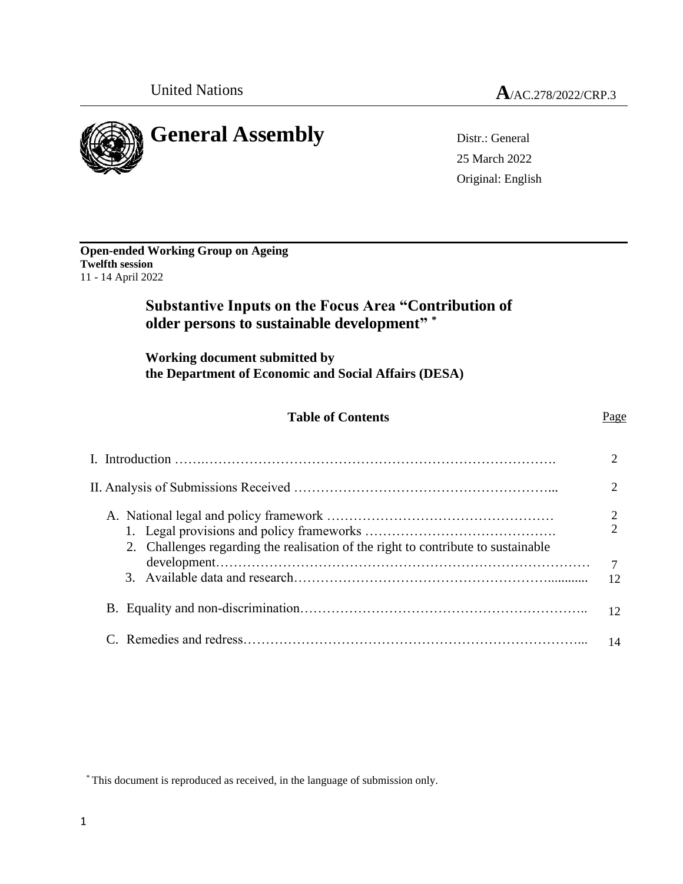

25 March 2022 Original: English

| <b>Open-ended Working Group on Ageing</b> |  |
|-------------------------------------------|--|
| <b>Twelfth session</b>                    |  |
| 11 - 14 April 2022                        |  |

# **Substantive Inputs on the Focus Area "Contribution of older persons to sustainable development" \***

**Working document submitted by the Department of Economic and Social Affairs (DESA)**

# **Table of Contents** Page

#### I. Introduction …….……………………………………………………………………. 2 II. Analysis of Submissions Received …………………………………………………... 2 A. National legal and policy framework …………………………………………… 1. Legal provisions and policy frameworks ……………………………………. 2. Challenges regarding the realisation of the right to contribute to sustainable development………………………………………………………………………… 3. Available data and research…………………………………………………............ B. Equality and non-discrimination……………………………………………………….. C. Remedies and redress…………………………………………………………………... 2 2 7 12 12 14

\* This document is reproduced as received, in the language of submission only.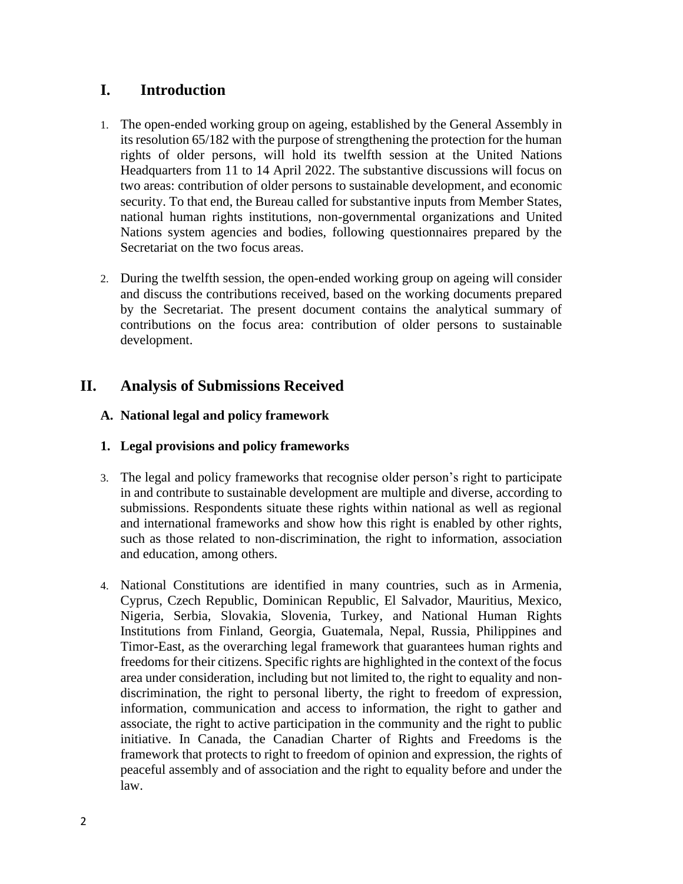# **I. Introduction**

- 1. The open-ended working group on ageing, established by the General Assembly in its resolution 65/182 with the purpose of strengthening the protection for the human rights of older persons, will hold its twelfth session at the United Nations Headquarters from 11 to 14 April 2022. The substantive discussions will focus on two areas: contribution of older persons to sustainable development, and economic security. To that end, the Bureau called for substantive inputs from Member States, national human rights institutions, non-governmental organizations and United Nations system agencies and bodies, following questionnaires prepared by the Secretariat on the two focus areas.
- 2. During the twelfth session, the open-ended working group on ageing will consider and discuss the contributions received, based on the working documents prepared by the Secretariat. The present document contains the analytical summary of contributions on the focus area: contribution of older persons to sustainable development.

# **II. Analysis of Submissions Received**

# **A. National legal and policy framework**

# **1. Legal provisions and policy frameworks**

- 3. The legal and policy frameworks that recognise older person's right to participate in and contribute to sustainable development are multiple and diverse, according to submissions. Respondents situate these rights within national as well as regional and international frameworks and show how this right is enabled by other rights, such as those related to non-discrimination, the right to information, association and education, among others.
- 4. National Constitutions are identified in many countries, such as in Armenia, Cyprus, Czech Republic, Dominican Republic, El Salvador, Mauritius, Mexico, Nigeria, Serbia, Slovakia, Slovenia, Turkey, and National Human Rights Institutions from Finland, Georgia, Guatemala, Nepal, Russia, Philippines and Timor-East, as the overarching legal framework that guarantees human rights and freedoms for their citizens. Specific rights are highlighted in the context of the focus area under consideration, including but not limited to, the right to equality and nondiscrimination, the right to personal liberty, the right to freedom of expression, information, communication and access to information, the right to gather and associate, the right to active participation in the community and the right to public initiative. In Canada, the Canadian Charter of Rights and Freedoms is the framework that protects to right to freedom of opinion and expression, the rights of peaceful assembly and of association and the right to equality before and under the law.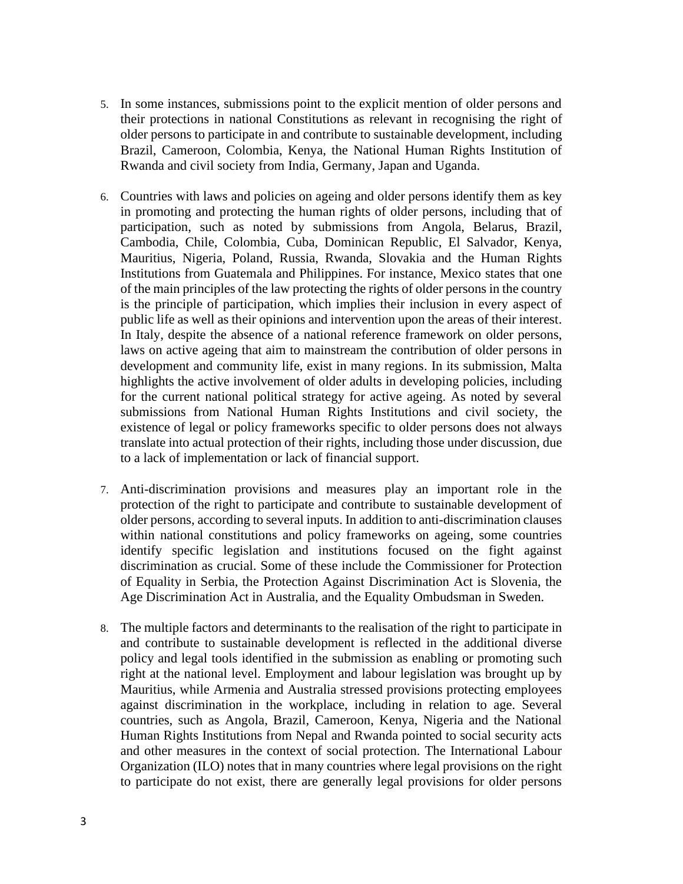- 5. In some instances, submissions point to the explicit mention of older persons and their protections in national Constitutions as relevant in recognising the right of older persons to participate in and contribute to sustainable development, including Brazil, Cameroon, Colombia, Kenya, the National Human Rights Institution of Rwanda and civil society from India, Germany, Japan and Uganda.
- 6. Countries with laws and policies on ageing and older persons identify them as key in promoting and protecting the human rights of older persons, including that of participation, such as noted by submissions from Angola, Belarus, Brazil, Cambodia, Chile, Colombia, Cuba, Dominican Republic, El Salvador, Kenya, Mauritius, Nigeria, Poland, Russia, Rwanda, Slovakia and the Human Rights Institutions from Guatemala and Philippines. For instance, Mexico states that one of the main principles of the law protecting the rights of older persons in the country is the principle of participation, which implies their inclusion in every aspect of public life as well as their opinions and intervention upon the areas of their interest. In Italy, despite the absence of a national reference framework on older persons, laws on active ageing that aim to mainstream the contribution of older persons in development and community life, exist in many regions. In its submission, Malta highlights the active involvement of older adults in developing policies, including for the current national political strategy for active ageing. As noted by several submissions from National Human Rights Institutions and civil society, the existence of legal or policy frameworks specific to older persons does not always translate into actual protection of their rights, including those under discussion, due to a lack of implementation or lack of financial support.
- 7. Anti-discrimination provisions and measures play an important role in the protection of the right to participate and contribute to sustainable development of older persons, according to several inputs. In addition to anti-discrimination clauses within national constitutions and policy frameworks on ageing, some countries identify specific legislation and institutions focused on the fight against discrimination as crucial. Some of these include the Commissioner for Protection of Equality in Serbia, the Protection Against Discrimination Act is Slovenia, the Age Discrimination Act in Australia, and the Equality Ombudsman in Sweden.
- 8. The multiple factors and determinants to the realisation of the right to participate in and contribute to sustainable development is reflected in the additional diverse policy and legal tools identified in the submission as enabling or promoting such right at the national level. Employment and labour legislation was brought up by Mauritius, while Armenia and Australia stressed provisions protecting employees against discrimination in the workplace, including in relation to age. Several countries, such as Angola, Brazil, Cameroon, Kenya, Nigeria and the National Human Rights Institutions from Nepal and Rwanda pointed to social security acts and other measures in the context of social protection. The International Labour Organization (ILO) notes that in many countries where legal provisions on the right to participate do not exist, there are generally legal provisions for older persons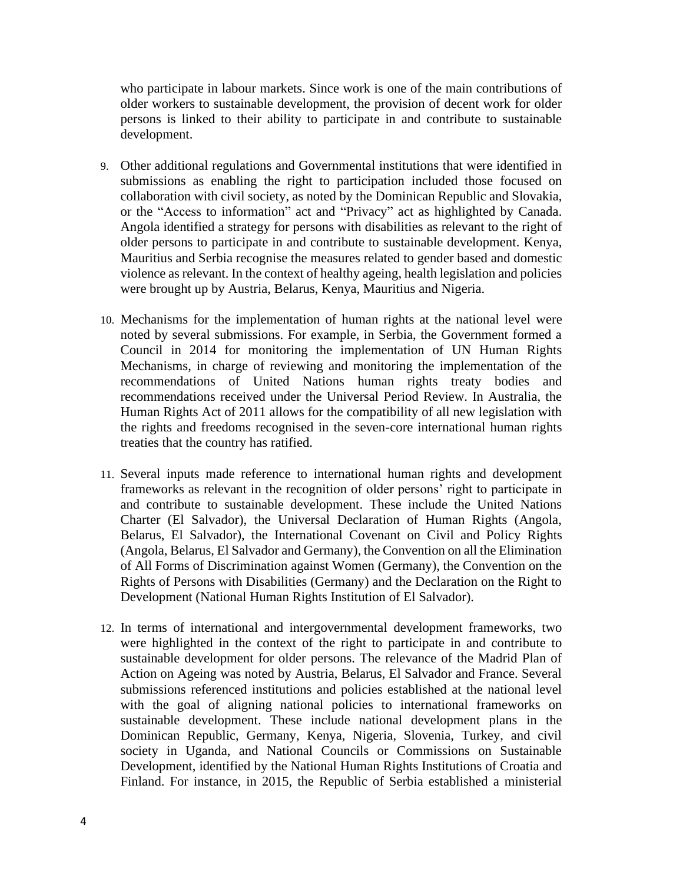who participate in labour markets. Since work is one of the main contributions of older workers to sustainable development, the provision of decent work for older persons is linked to their ability to participate in and contribute to sustainable development.

- 9. Other additional regulations and Governmental institutions that were identified in submissions as enabling the right to participation included those focused on collaboration with civil society, as noted by the Dominican Republic and Slovakia, or the "Access to information" act and "Privacy" act as highlighted by Canada. Angola identified a strategy for persons with disabilities as relevant to the right of older persons to participate in and contribute to sustainable development. Kenya, Mauritius and Serbia recognise the measures related to gender based and domestic violence as relevant. In the context of healthy ageing, health legislation and policies were brought up by Austria, Belarus, Kenya, Mauritius and Nigeria.
- 10. Mechanisms for the implementation of human rights at the national level were noted by several submissions. For example, in Serbia, the Government formed a Council in 2014 for monitoring the implementation of UN Human Rights Mechanisms, in charge of reviewing and monitoring the implementation of the recommendations of United Nations human rights treaty bodies and recommendations received under the Universal Period Review. In Australia, the Human Rights Act of 2011 allows for the compatibility of all new legislation with the rights and freedoms recognised in the seven-core international human rights treaties that the country has ratified.
- 11. Several inputs made reference to international human rights and development frameworks as relevant in the recognition of older persons' right to participate in and contribute to sustainable development. These include the United Nations Charter (El Salvador), the Universal Declaration of Human Rights (Angola, Belarus, El Salvador), the International Covenant on Civil and Policy Rights (Angola, Belarus, El Salvador and Germany), the Convention on all the Elimination of All Forms of Discrimination against Women (Germany), the Convention on the Rights of Persons with Disabilities (Germany) and the Declaration on the Right to Development (National Human Rights Institution of El Salvador).
- 12. In terms of international and intergovernmental development frameworks, two were highlighted in the context of the right to participate in and contribute to sustainable development for older persons. The relevance of the Madrid Plan of Action on Ageing was noted by Austria, Belarus, El Salvador and France. Several submissions referenced institutions and policies established at the national level with the goal of aligning national policies to international frameworks on sustainable development. These include national development plans in the Dominican Republic, Germany, Kenya, Nigeria, Slovenia, Turkey, and civil society in Uganda, and National Councils or Commissions on Sustainable Development, identified by the National Human Rights Institutions of Croatia and Finland. For instance, in 2015, the Republic of Serbia established a ministerial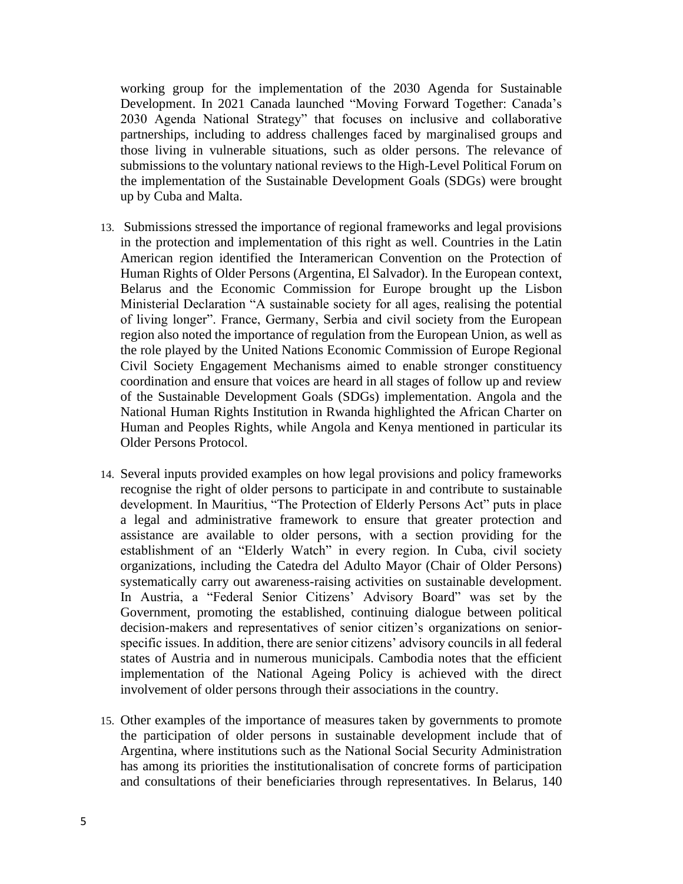working group for the implementation of the 2030 Agenda for Sustainable Development. In 2021 Canada launched "Moving Forward Together: Canada's 2030 Agenda National Strategy" that focuses on inclusive and collaborative partnerships, including to address challenges faced by marginalised groups and those living in vulnerable situations, such as older persons. The relevance of submissions to the voluntary national reviews to the High-Level Political Forum on the implementation of the Sustainable Development Goals (SDGs) were brought up by Cuba and Malta.

- 13. Submissions stressed the importance of regional frameworks and legal provisions in the protection and implementation of this right as well. Countries in the Latin American region identified the Interamerican Convention on the Protection of Human Rights of Older Persons (Argentina, El Salvador). In the European context, Belarus and the Economic Commission for Europe brought up the Lisbon Ministerial Declaration "A sustainable society for all ages, realising the potential of living longer". France, Germany, Serbia and civil society from the European region also noted the importance of regulation from the European Union, as well as the role played by the United Nations Economic Commission of Europe Regional Civil Society Engagement Mechanisms aimed to enable stronger constituency coordination and ensure that voices are heard in all stages of follow up and review of the Sustainable Development Goals (SDGs) implementation. Angola and the National Human Rights Institution in Rwanda highlighted the African Charter on Human and Peoples Rights, while Angola and Kenya mentioned in particular its Older Persons Protocol.
- 14. Several inputs provided examples on how legal provisions and policy frameworks recognise the right of older persons to participate in and contribute to sustainable development. In Mauritius, "The Protection of Elderly Persons Act" puts in place a legal and administrative framework to ensure that greater protection and assistance are available to older persons, with a section providing for the establishment of an "Elderly Watch" in every region. In Cuba, civil society organizations, including the Catedra del Adulto Mayor (Chair of Older Persons) systematically carry out awareness-raising activities on sustainable development. In Austria, a "Federal Senior Citizens' Advisory Board" was set by the Government, promoting the established, continuing dialogue between political decision-makers and representatives of senior citizen's organizations on seniorspecific issues. In addition, there are senior citizens' advisory councils in all federal states of Austria and in numerous municipals. Cambodia notes that the efficient implementation of the National Ageing Policy is achieved with the direct involvement of older persons through their associations in the country.
- 15. Other examples of the importance of measures taken by governments to promote the participation of older persons in sustainable development include that of Argentina, where institutions such as the National Social Security Administration has among its priorities the institutionalisation of concrete forms of participation and consultations of their beneficiaries through representatives. In Belarus, 140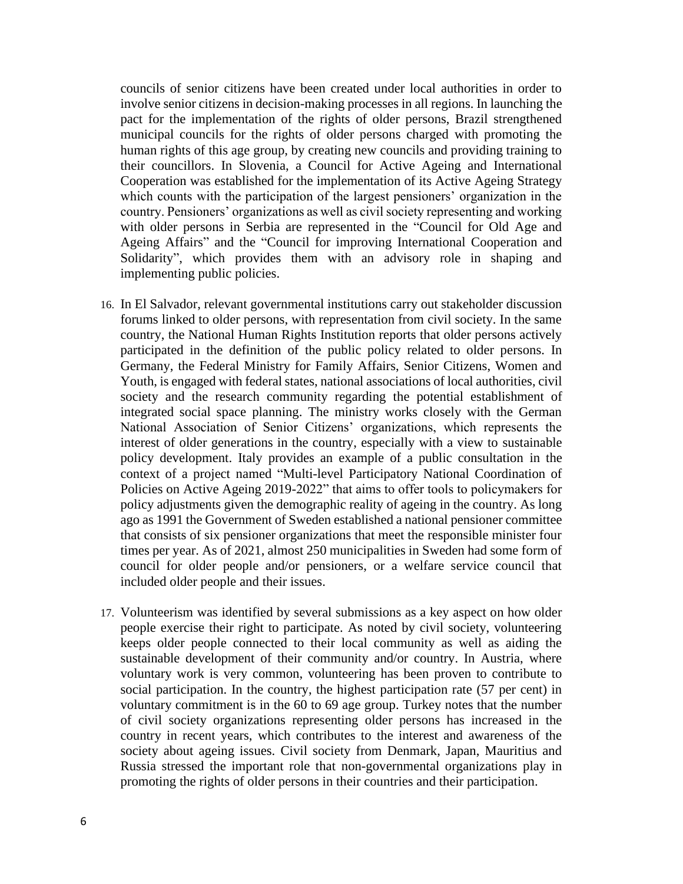councils of senior citizens have been created under local authorities in order to involve senior citizens in decision-making processes in all regions. In launching the pact for the implementation of the rights of older persons, Brazil strengthened municipal councils for the rights of older persons charged with promoting the human rights of this age group, by creating new councils and providing training to their councillors. In Slovenia, a Council for Active Ageing and International Cooperation was established for the implementation of its Active Ageing Strategy which counts with the participation of the largest pensioners' organization in the country. Pensioners' organizations as well as civil society representing and working with older persons in Serbia are represented in the "Council for Old Age and Ageing Affairs" and the "Council for improving International Cooperation and Solidarity", which provides them with an advisory role in shaping and implementing public policies.

- 16. In El Salvador, relevant governmental institutions carry out stakeholder discussion forums linked to older persons, with representation from civil society. In the same country, the National Human Rights Institution reports that older persons actively participated in the definition of the public policy related to older persons. In Germany, the Federal Ministry for Family Affairs, Senior Citizens, Women and Youth, is engaged with federal states, national associations of local authorities, civil society and the research community regarding the potential establishment of integrated social space planning. The ministry works closely with the German National Association of Senior Citizens' organizations, which represents the interest of older generations in the country, especially with a view to sustainable policy development. Italy provides an example of a public consultation in the context of a project named "Multi-level Participatory National Coordination of Policies on Active Ageing 2019-2022" that aims to offer tools to policymakers for policy adjustments given the demographic reality of ageing in the country. As long ago as 1991 the Government of Sweden established a national pensioner committee that consists of six pensioner organizations that meet the responsible minister four times per year. As of 2021, almost 250 municipalities in Sweden had some form of council for older people and/or pensioners, or a welfare service council that included older people and their issues.
- 17. Volunteerism was identified by several submissions as a key aspect on how older people exercise their right to participate. As noted by civil society, volunteering keeps older people connected to their local community as well as aiding the sustainable development of their community and/or country. In Austria, where voluntary work is very common, volunteering has been proven to contribute to social participation. In the country, the highest participation rate (57 per cent) in voluntary commitment is in the 60 to 69 age group. Turkey notes that the number of civil society organizations representing older persons has increased in the country in recent years, which contributes to the interest and awareness of the society about ageing issues. Civil society from Denmark, Japan, Mauritius and Russia stressed the important role that non-governmental organizations play in promoting the rights of older persons in their countries and their participation.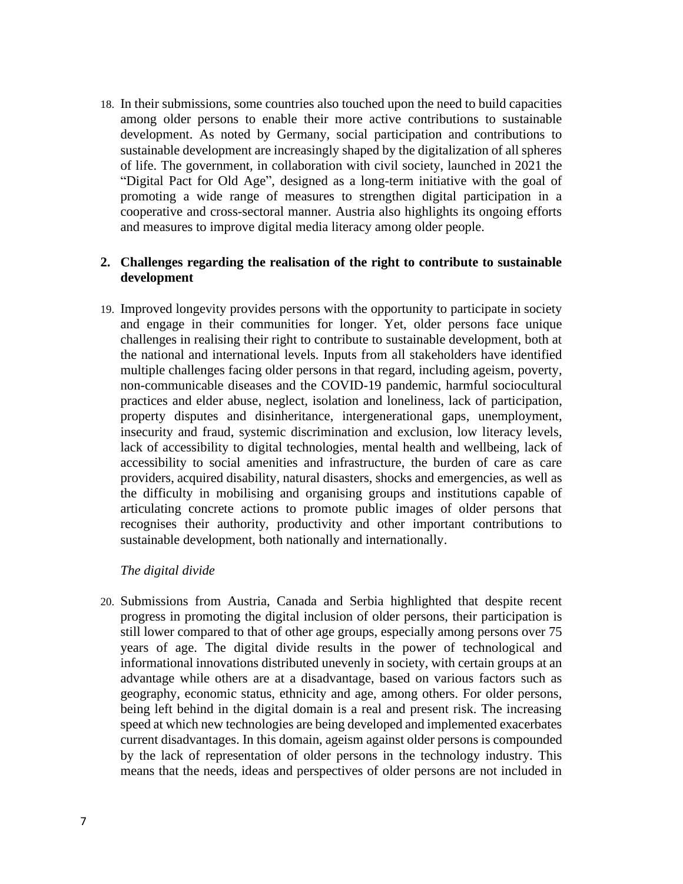18. In their submissions, some countries also touched upon the need to build capacities among older persons to enable their more active contributions to sustainable development. As noted by Germany, social participation and contributions to sustainable development are increasingly shaped by the digitalization of all spheres of life. The government, in collaboration with civil society, launched in 2021 the "Digital Pact for Old Age", designed as a long-term initiative with the goal of promoting a wide range of measures to strengthen digital participation in a cooperative and cross-sectoral manner. Austria also highlights its ongoing efforts and measures to improve digital media literacy among older people.

# **2. Challenges regarding the realisation of the right to contribute to sustainable development**

19. Improved longevity provides persons with the opportunity to participate in society and engage in their communities for longer. Yet, older persons face unique challenges in realising their right to contribute to sustainable development, both at the national and international levels. Inputs from all stakeholders have identified multiple challenges facing older persons in that regard, including ageism, poverty, non-communicable diseases and the COVID-19 pandemic, harmful sociocultural practices and elder abuse, neglect, isolation and loneliness, lack of participation, property disputes and disinheritance, intergenerational gaps, unemployment, insecurity and fraud, systemic discrimination and exclusion, low literacy levels, lack of accessibility to digital technologies, mental health and wellbeing, lack of accessibility to social amenities and infrastructure, the burden of care as care providers, acquired disability, natural disasters, shocks and emergencies, as well as the difficulty in mobilising and organising groups and institutions capable of articulating concrete actions to promote public images of older persons that recognises their authority, productivity and other important contributions to sustainable development, both nationally and internationally.

# *The digital divide*

20. Submissions from Austria, Canada and Serbia highlighted that despite recent progress in promoting the digital inclusion of older persons, their participation is still lower compared to that of other age groups, especially among persons over 75 years of age. The digital divide results in the power of technological and informational innovations distributed unevenly in society, with certain groups at an advantage while others are at a disadvantage, based on various factors such as geography, economic status, ethnicity and age, among others. For older persons, being left behind in the digital domain is a real and present risk. The increasing speed at which new technologies are being developed and implemented exacerbates current disadvantages. In this domain, ageism against older persons is compounded by the lack of representation of older persons in the technology industry. This means that the needs, ideas and perspectives of older persons are not included in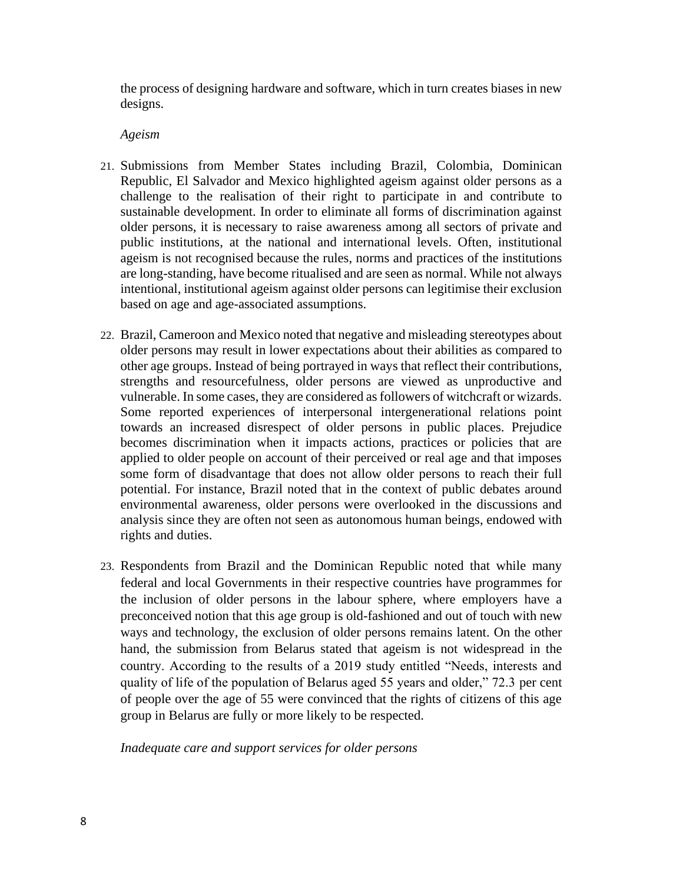the process of designing hardware and software, which in turn creates biases in new designs.

### *Ageism*

- 21. Submissions from Member States including Brazil, Colombia, Dominican Republic, El Salvador and Mexico highlighted ageism against older persons as a challenge to the realisation of their right to participate in and contribute to sustainable development. In order to eliminate all forms of discrimination against older persons, it is necessary to raise awareness among all sectors of private and public institutions, at the national and international levels. Often, institutional ageism is not recognised because the rules, norms and practices of the institutions are long-standing, have become ritualised and are seen as normal. While not always intentional, institutional ageism against older persons can legitimise their exclusion based on age and age-associated assumptions.
- 22. Brazil, Cameroon and Mexico noted that negative and misleading stereotypes about older persons may result in lower expectations about their abilities as compared to other age groups. Instead of being portrayed in ways that reflect their contributions, strengths and resourcefulness, older persons are viewed as unproductive and vulnerable. In some cases, they are considered as followers of witchcraft or wizards. Some reported experiences of interpersonal intergenerational relations point towards an increased disrespect of older persons in public places. Prejudice becomes discrimination when it impacts actions, practices or policies that are applied to older people on account of their perceived or real age and that imposes some form of disadvantage that does not allow older persons to reach their full potential. For instance, Brazil noted that in the context of public debates around environmental awareness, older persons were overlooked in the discussions and analysis since they are often not seen as autonomous human beings, endowed with rights and duties.
- 23. Respondents from Brazil and the Dominican Republic noted that while many federal and local Governments in their respective countries have programmes for the inclusion of older persons in the labour sphere, where employers have a preconceived notion that this age group is old-fashioned and out of touch with new ways and technology, the exclusion of older persons remains latent. On the other hand, the submission from Belarus stated that ageism is not widespread in the country. According to the results of a 2019 study entitled "Needs, interests and quality of life of the population of Belarus aged 55 years and older," 72.3 per cent of people over the age of 55 were convinced that the rights of citizens of this age group in Belarus are fully or more likely to be respected.

*Inadequate care and support services for older persons*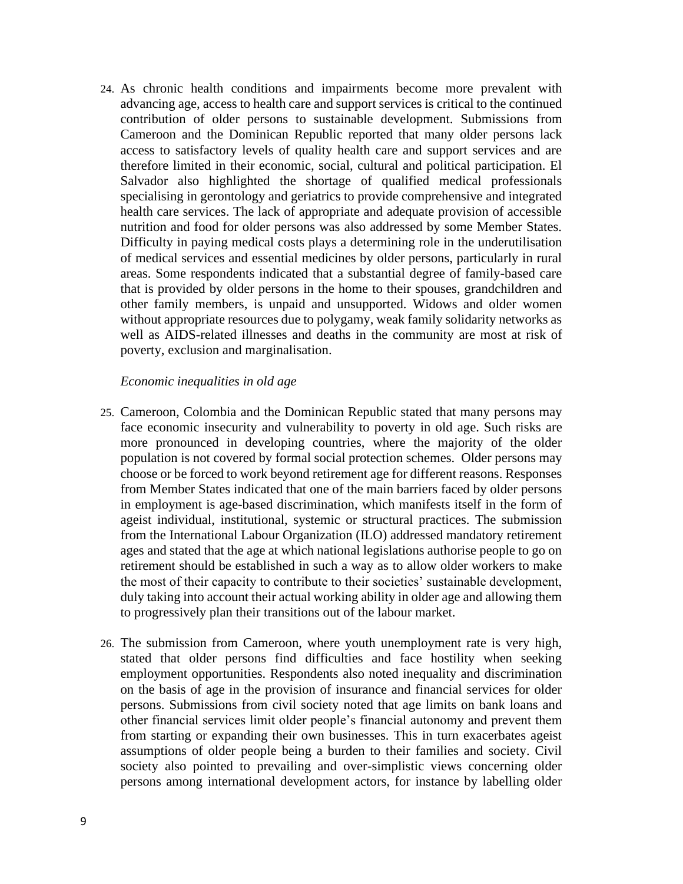24. As chronic health conditions and impairments become more prevalent with advancing age, access to health care and support services is critical to the continued contribution of older persons to sustainable development. Submissions from Cameroon and the Dominican Republic reported that many older persons lack access to satisfactory levels of quality health care and support services and are therefore limited in their economic, social, cultural and political participation. El Salvador also highlighted the shortage of qualified medical professionals specialising in gerontology and geriatrics to provide comprehensive and integrated health care services. The lack of appropriate and adequate provision of accessible nutrition and food for older persons was also addressed by some Member States. Difficulty in paying medical costs plays a determining role in the underutilisation of medical services and essential medicines by older persons, particularly in rural areas. Some respondents indicated that a substantial degree of family-based care that is provided by older persons in the home to their spouses, grandchildren and other family members, is unpaid and unsupported. Widows and older women without appropriate resources due to polygamy, weak family solidarity networks as well as AIDS-related illnesses and deaths in the community are most at risk of poverty, exclusion and marginalisation.

#### *Economic inequalities in old age*

- 25. Cameroon, Colombia and the Dominican Republic stated that many persons may face economic insecurity and vulnerability to poverty in old age. Such risks are more pronounced in developing countries, where the majority of the older population is not covered by formal social protection schemes. Older persons may choose or be forced to work beyond retirement age for different reasons. Responses from Member States indicated that one of the main barriers faced by older persons in employment is age-based discrimination, which manifests itself in the form of ageist individual, institutional, systemic or structural practices. The submission from the International Labour Organization (ILO) addressed mandatory retirement ages and stated that the age at which national legislations authorise people to go on retirement should be established in such a way as to allow older workers to make the most of their capacity to contribute to their societies' sustainable development, duly taking into account their actual working ability in older age and allowing them to progressively plan their transitions out of the labour market.
- 26. The submission from Cameroon, where youth unemployment rate is very high, stated that older persons find difficulties and face hostility when seeking employment opportunities. Respondents also noted inequality and discrimination on the basis of age in the provision of insurance and financial services for older persons. Submissions from civil society noted that age limits on bank loans and other financial services limit older people's financial autonomy and prevent them from starting or expanding their own businesses. This in turn exacerbates ageist assumptions of older people being a burden to their families and society. Civil society also pointed to prevailing and over-simplistic views concerning older persons among international development actors, for instance by labelling older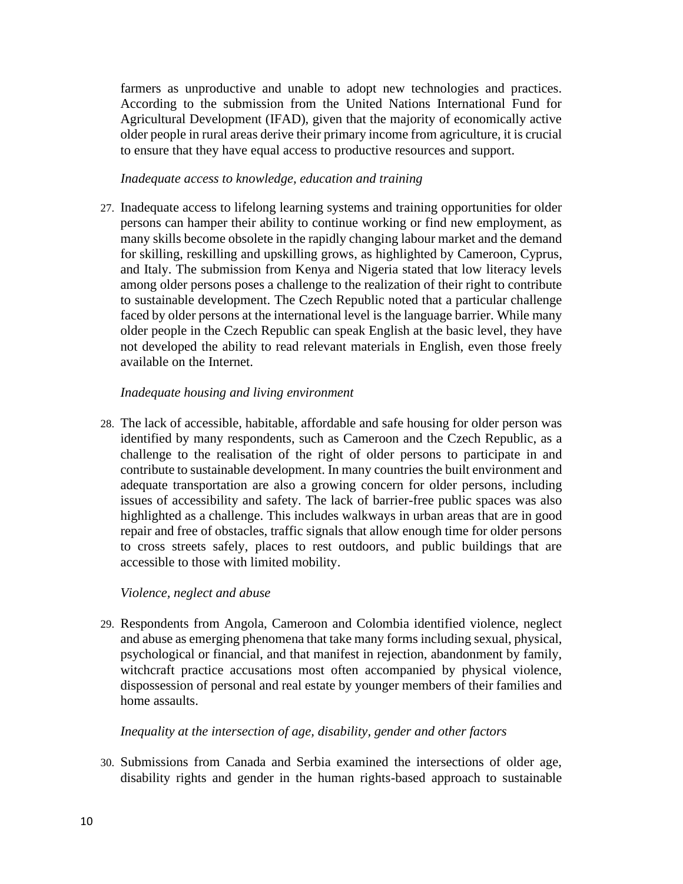farmers as unproductive and unable to adopt new technologies and practices. According to the submission from the United Nations International Fund for Agricultural Development (IFAD), given that the majority of economically active older people in rural areas derive their primary income from agriculture, it is crucial to ensure that they have equal access to productive resources and support.

#### *Inadequate access to knowledge, education and training*

27. Inadequate access to lifelong learning systems and training opportunities for older persons can hamper their ability to continue working or find new employment, as many skills become obsolete in the rapidly changing labour market and the demand for skilling, reskilling and upskilling grows, as highlighted by Cameroon, Cyprus, and Italy. The submission from Kenya and Nigeria stated that low literacy levels among older persons poses a challenge to the realization of their right to contribute to sustainable development. The Czech Republic noted that a particular challenge faced by older persons at the international level is the language barrier. While many older people in the Czech Republic can speak English at the basic level, they have not developed the ability to read relevant materials in English, even those freely available on the Internet.

#### *Inadequate housing and living environment*

28. The lack of accessible, habitable, affordable and safe housing for older person was identified by many respondents, such as Cameroon and the Czech Republic, as a challenge to the realisation of the right of older persons to participate in and contribute to sustainable development. In many countries the built environment and adequate transportation are also a growing concern for older persons, including issues of accessibility and safety. The lack of barrier-free public spaces was also highlighted as a challenge. This includes walkways in urban areas that are in good repair and free of obstacles, traffic signals that allow enough time for older persons to cross streets safely, places to rest outdoors, and public buildings that are accessible to those with limited mobility.

# *Violence, neglect and abuse*

29. Respondents from Angola, Cameroon and Colombia identified violence, neglect and abuse as emerging phenomena that take many forms including sexual, physical, psychological or financial, and that manifest in rejection, abandonment by family, witchcraft practice accusations most often accompanied by physical violence, dispossession of personal and real estate by younger members of their families and home assaults.

#### *Inequality at the intersection of age, disability, gender and other factors*

30. Submissions from Canada and Serbia examined the intersections of older age, disability rights and gender in the human rights-based approach to sustainable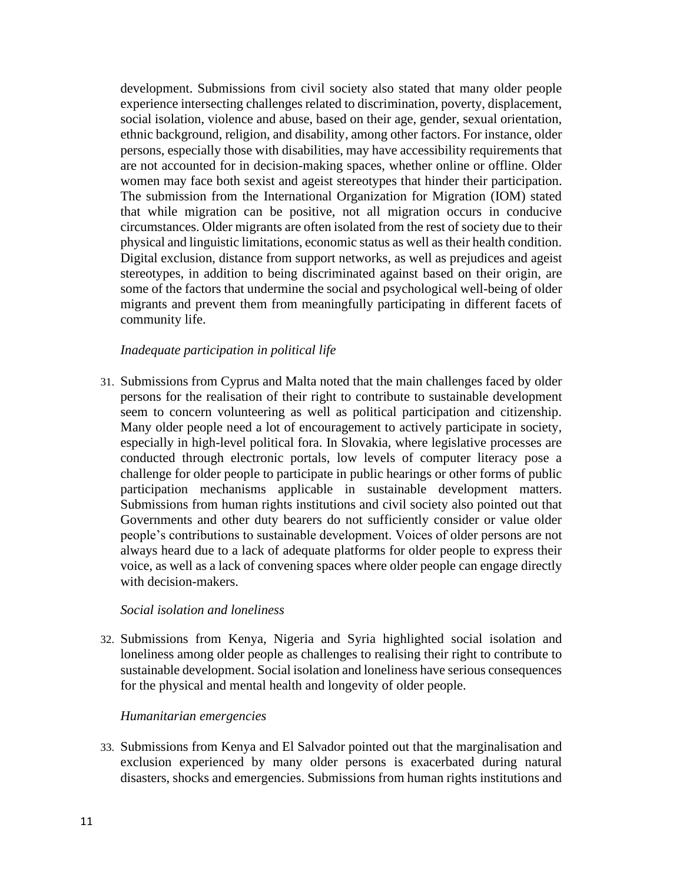development. Submissions from civil society also stated that many older people experience intersecting challenges related to discrimination, poverty, displacement, social isolation, violence and abuse, based on their age, gender, sexual orientation, ethnic background, religion, and disability, among other factors. For instance, older persons, especially those with disabilities, may have accessibility requirements that are not accounted for in decision-making spaces, whether online or offline. Older women may face both sexist and ageist stereotypes that hinder their participation. The submission from the International Organization for Migration (IOM) stated that while migration can be positive, not all migration occurs in conducive circumstances. Older migrants are often isolated from the rest of society due to their physical and linguistic limitations, economic status as well as their health condition. Digital exclusion, distance from support networks, as well as prejudices and ageist stereotypes, in addition to being discriminated against based on their origin, are some of the factors that undermine the social and psychological well-being of older migrants and prevent them from meaningfully participating in different facets of community life.

#### *Inadequate participation in political life*

31. Submissions from Cyprus and Malta noted that the main challenges faced by older persons for the realisation of their right to contribute to sustainable development seem to concern volunteering as well as political participation and citizenship. Many older people need a lot of encouragement to actively participate in society, especially in high-level political fora. In Slovakia, where legislative processes are conducted through electronic portals, low levels of computer literacy pose a challenge for older people to participate in public hearings or other forms of public participation mechanisms applicable in sustainable development matters. Submissions from human rights institutions and civil society also pointed out that Governments and other duty bearers do not sufficiently consider or value older people's contributions to sustainable development. Voices of older persons are not always heard due to a lack of adequate platforms for older people to express their voice, as well as a lack of convening spaces where older people can engage directly with decision-makers.

#### *Social isolation and loneliness*

32. Submissions from Kenya, Nigeria and Syria highlighted social isolation and loneliness among older people as challenges to realising their right to contribute to sustainable development. Social isolation and loneliness have serious consequences for the physical and mental health and longevity of older people.

#### *Humanitarian emergencies*

33. Submissions from Kenya and El Salvador pointed out that the marginalisation and exclusion experienced by many older persons is exacerbated during natural disasters, shocks and emergencies. Submissions from human rights institutions and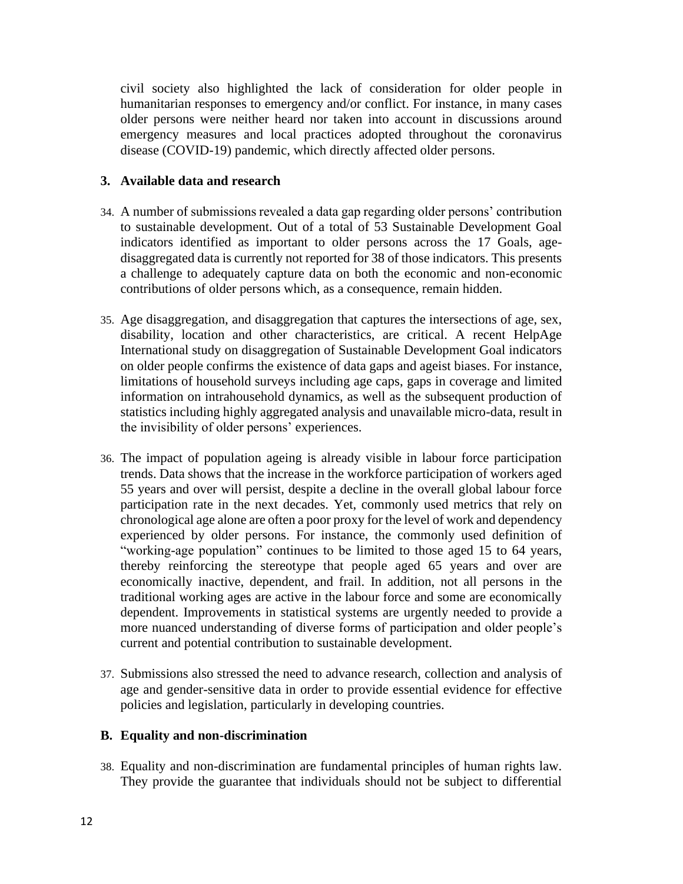civil society also highlighted the lack of consideration for older people in humanitarian responses to emergency and/or conflict. For instance, in many cases older persons were neither heard nor taken into account in discussions around emergency measures and local practices adopted throughout the coronavirus disease (COVID-19) pandemic, which directly affected older persons.

# **3. Available data and research**

- 34. A number of submissions revealed a data gap regarding older persons' contribution to sustainable development. Out of a total of 53 Sustainable Development Goal indicators identified as important to older persons across the 17 Goals, agedisaggregated data is currently not reported for 38 of those indicators. This presents a challenge to adequately capture data on both the economic and non-economic contributions of older persons which, as a consequence, remain hidden.
- 35. Age disaggregation, and disaggregation that captures the intersections of age, sex, disability, location and other characteristics, are critical. A recent HelpAge International study on disaggregation of Sustainable Development Goal indicators on older people confirms the existence of data gaps and ageist biases. For instance, limitations of household surveys including age caps, gaps in coverage and limited information on intrahousehold dynamics, as well as the subsequent production of statistics including highly aggregated analysis and unavailable micro-data, result in the invisibility of older persons' experiences.
- 36. The impact of population ageing is already visible in labour force participation trends. Data shows that the increase in the workforce participation of workers aged 55 years and over will persist, despite a decline in the overall global labour force participation rate in the next decades. Yet, commonly used metrics that rely on chronological age alone are often a poor proxy for the level of work and dependency experienced by older persons. For instance, the commonly used definition of "working-age population" continues to be limited to those aged 15 to 64 years, thereby reinforcing the stereotype that people aged 65 years and over are economically inactive, dependent, and frail. In addition, not all persons in the traditional working ages are active in the labour force and some are economically dependent. Improvements in statistical systems are urgently needed to provide a more nuanced understanding of diverse forms of participation and older people's current and potential contribution to sustainable development.
- 37. Submissions also stressed the need to advance research, collection and analysis of age and gender-sensitive data in order to provide essential evidence for effective policies and legislation, particularly in developing countries.

# **B. Equality and non-discrimination**

38. Equality and non-discrimination are fundamental principles of human rights law. They provide the guarantee that individuals should not be subject to differential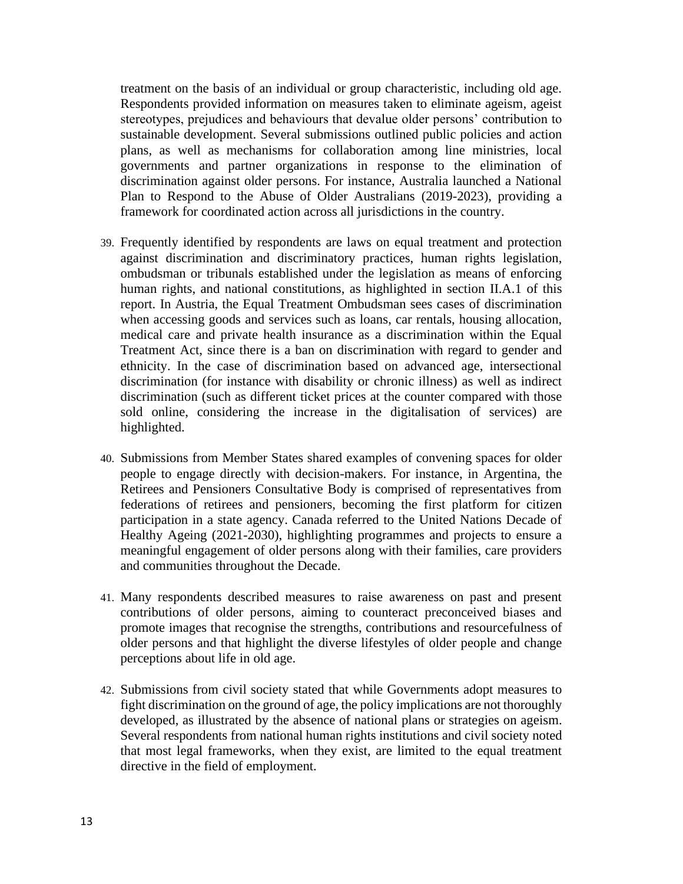treatment on the basis of an individual or group characteristic, including old age. Respondents provided information on measures taken to eliminate ageism, ageist stereotypes, prejudices and behaviours that devalue older persons' contribution to sustainable development. Several submissions outlined public policies and action plans, as well as mechanisms for collaboration among line ministries, local governments and partner organizations in response to the elimination of discrimination against older persons. For instance, Australia launched a National Plan to Respond to the Abuse of Older Australians (2019-2023), providing a framework for coordinated action across all jurisdictions in the country.

- 39. Frequently identified by respondents are laws on equal treatment and protection against discrimination and discriminatory practices, human rights legislation, ombudsman or tribunals established under the legislation as means of enforcing human rights, and national constitutions, as highlighted in section II.A.1 of this report. In Austria, the Equal Treatment Ombudsman sees cases of discrimination when accessing goods and services such as loans, car rentals, housing allocation, medical care and private health insurance as a discrimination within the Equal Treatment Act, since there is a ban on discrimination with regard to gender and ethnicity. In the case of discrimination based on advanced age, intersectional discrimination (for instance with disability or chronic illness) as well as indirect discrimination (such as different ticket prices at the counter compared with those sold online, considering the increase in the digitalisation of services) are highlighted.
- 40. Submissions from Member States shared examples of convening spaces for older people to engage directly with decision-makers. For instance, in Argentina, the Retirees and Pensioners Consultative Body is comprised of representatives from federations of retirees and pensioners, becoming the first platform for citizen participation in a state agency. Canada referred to the United Nations Decade of Healthy Ageing (2021-2030), highlighting programmes and projects to ensure a meaningful engagement of older persons along with their families, care providers and communities throughout the Decade.
- 41. Many respondents described measures to raise awareness on past and present contributions of older persons, aiming to counteract preconceived biases and promote images that recognise the strengths, contributions and resourcefulness of older persons and that highlight the diverse lifestyles of older people and change perceptions about life in old age.
- 42. Submissions from civil society stated that while Governments adopt measures to fight discrimination on the ground of age, the policy implications are not thoroughly developed, as illustrated by the absence of national plans or strategies on ageism. Several respondents from national human rights institutions and civil society noted that most legal frameworks, when they exist, are limited to the equal treatment directive in the field of employment.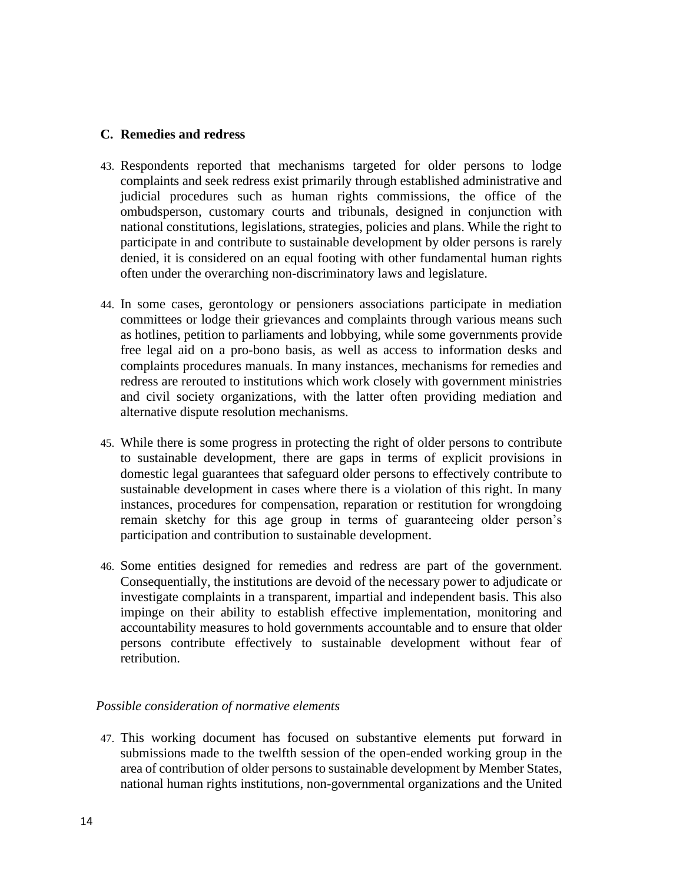# **C. Remedies and redress**

- 43. Respondents reported that mechanisms targeted for older persons to lodge complaints and seek redress exist primarily through established administrative and judicial procedures such as human rights commissions, the office of the ombudsperson, customary courts and tribunals, designed in conjunction with national constitutions, legislations, strategies, policies and plans. While the right to participate in and contribute to sustainable development by older persons is rarely denied, it is considered on an equal footing with other fundamental human rights often under the overarching non-discriminatory laws and legislature.
- 44. In some cases, gerontology or pensioners associations participate in mediation committees or lodge their grievances and complaints through various means such as hotlines, petition to parliaments and lobbying, while some governments provide free legal aid on a pro-bono basis, as well as access to information desks and complaints procedures manuals. In many instances, mechanisms for remedies and redress are rerouted to institutions which work closely with government ministries and civil society organizations, with the latter often providing mediation and alternative dispute resolution mechanisms.
- 45. While there is some progress in protecting the right of older persons to contribute to sustainable development, there are gaps in terms of explicit provisions in domestic legal guarantees that safeguard older persons to effectively contribute to sustainable development in cases where there is a violation of this right. In many instances, procedures for compensation, reparation or restitution for wrongdoing remain sketchy for this age group in terms of guaranteeing older person's participation and contribution to sustainable development.
- 46. Some entities designed for remedies and redress are part of the government. Consequentially, the institutions are devoid of the necessary power to adjudicate or investigate complaints in a transparent, impartial and independent basis. This also impinge on their ability to establish effective implementation, monitoring and accountability measures to hold governments accountable and to ensure that older persons contribute effectively to sustainable development without fear of retribution.

# *Possible consideration of normative elements*

47. This working document has focused on substantive elements put forward in submissions made to the twelfth session of the open-ended working group in the area of contribution of older persons to sustainable development by Member States, national human rights institutions, non-governmental organizations and the United